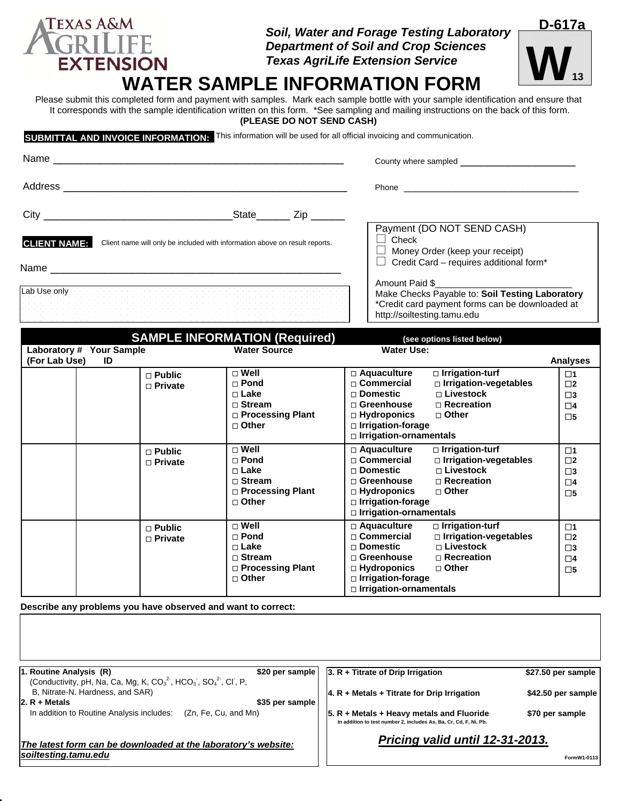### *Soil, Water and Forage Testing Laboratory Department of Soil and Crop Sciences Texas AgriLife Extension Service*



# EXTENSION **Texas AgriLife Extension Service**<br>WATER SAMPLE INFORMATION FORM

Please submit this completed form and payment with samples. Mark each sample bottle with your sample identification and ensure that It corresponds with the sample identification written on this form. \*See sampling and mailing instructions on the back of this form. **(PLEASE DO NOT SEND CASH)** 

**SUBMITTAL AND INVOICE INFORMATION:** This information will be used for all official invoicing and communication.

**TEXAS A&M** 

| <b>CLIENT NAME:</b> | Client name will only be included with information above on result reports. |                                                                                                          | Payment (DO NOT SEND CASH)<br>$\Box$ Check<br>$\Box$ Money Order (keep your receipt)<br>$\Box$ Credit Card – requires additional form*                                                                                                                 |                                                                         |
|---------------------|-----------------------------------------------------------------------------|----------------------------------------------------------------------------------------------------------|--------------------------------------------------------------------------------------------------------------------------------------------------------------------------------------------------------------------------------------------------------|-------------------------------------------------------------------------|
| Lab Use only        |                                                                             |                                                                                                          | Amount Paid \$<br>Make Checks Payable to: Soil Testing Laboratory<br>*Credit card payment forms can be downloaded at<br>http://soiltesting.tamu.edu                                                                                                    |                                                                         |
|                     |                                                                             | <b>SAMPLE INFORMATION (Required)</b>                                                                     | (see options listed below)                                                                                                                                                                                                                             |                                                                         |
| (For Lab Use)       | Laboratory # Your Sample<br>ID                                              | <b>Water Source</b>                                                                                      | <b>Water Use:</b>                                                                                                                                                                                                                                      | <b>Analyses</b>                                                         |
|                     | $\Box$ Public<br>$\Box$ Private                                             | $\square$ Well<br>$\Box$ Pond<br>$\Box$ Lake<br>$\Box$ Stream<br>□ Processing Plant<br>□ Other           | □ Irrigation-turf<br>□ Aquaculture<br>□ Commercial<br>□ Irrigation-vegetables<br>□ Livestock<br>$\Box$ Domestic<br>□ Recreation<br>□ Greenhouse<br>□ Hydroponics<br>□ Other<br>□ Irrigation-forage<br>□ Irrigation-ornamentals                         | $\square$ 1<br>$\square$<br>$\square$ 3<br>$\square$ 4<br>$\square$ 5   |
|                     | $\Box$ Public<br>$\Box$ Private                                             | $\sqcap$ Well<br>$\Box$ Pond<br>$\sqcap$ Lake<br>$\sqcap$ Stream<br>□ Processing Plant<br>$\sqcap$ Other | $\Box$ Aquaculture<br>$\Box$ Irrigation-turf<br>□ Irrigation-vegetables<br>$\Box$ Commercial<br>$\sqcap$ Livestock<br>□ Domestic<br>□ Recreation<br>$\sqcap$ Greenhouse<br>□ Hydroponics<br>□ Other<br>□ Irrigation-forage<br>□ Irrigation-ornamentals | $\square$ 1<br>$\square$<br>$\square$ 3<br>$\square$ 4<br>$\square 5$   |
|                     | $\Box$ Public<br>$\Box$ Private                                             | $\Box$ Well<br>$\Box$ Pond<br>$\Box$ Lake<br>$\Box$ Stream<br>□ Processing Plant<br>□ Other              | $\square$ Irrigation-turf<br>$\Box$ Aquaculture<br>□ Irrigation-vegetables<br>□ Commercial<br>□ Livestock<br><b>□ Domestic</b><br>□ Greenhouse<br>□ Recreation<br>$\Box$ Hydroponics<br>□ Other<br>□ Irrigation-forage                                 | $\square$ 1<br>$\square$ 2<br>$\square$ 3<br>$\square$ 4<br>$\square$ 5 |

**Describe any problems you have observed and want to correct:**

| 1. Routine Analysis (R)                                                                                                   | \$20 per sample                 | $ 3. R + T$ Titrate of Drip Irrigation                                                                           | \$27.50 per sample |
|---------------------------------------------------------------------------------------------------------------------------|---------------------------------|------------------------------------------------------------------------------------------------------------------|--------------------|
| (Conductivity, pH, Na, Ca, Mg, K, CO <sub>3</sub> <sup>2</sup> , HCO <sub>3</sub> , SO <sub>4</sub> <sup>2</sup> , CI, P, |                                 |                                                                                                                  |                    |
| B. Nitrate-N. Hardness, and SAR)                                                                                          |                                 | $ 4. R + \text{Methods} + \text{Titrate}$ for Drip Irrigation                                                    | \$42.50 per sample |
| $ 2. R + \text{Metals} $                                                                                                  | \$35 per sample!                |                                                                                                                  |                    |
| In addition to Routine Analysis includes:<br>(Zn, Fe, Cu, and Mn)                                                         |                                 | $5. R + Metals + Heavy$ metals and Fluoride<br>In addition to test number 2, includes As, Ba, Cr, Cd, F, Ni, Pb. | \$70 per sample    |
| The latest form can be downloaded at the laboratory's website:                                                            | Pricing valid until 12-31-2013. |                                                                                                                  |                    |
| soiltesting.tamu.edu                                                                                                      |                                 |                                                                                                                  | FormW1-0113        |

 **Irrigation-ornamentals**